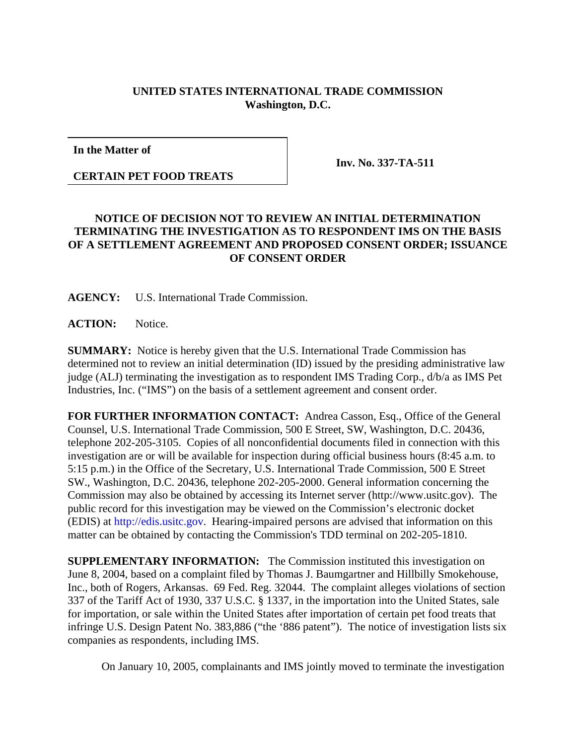## **UNITED STATES INTERNATIONAL TRADE COMMISSION Washington, D.C.**

**In the Matter of**

**CERTAIN PET FOOD TREATS**

**Inv. No. 337-TA-511**

## **NOTICE OF DECISION NOT TO REVIEW AN INITIAL DETERMINATION TERMINATING THE INVESTIGATION AS TO RESPONDENT IMS ON THE BASIS OF A SETTLEMENT AGREEMENT AND PROPOSED CONSENT ORDER; ISSUANCE OF CONSENT ORDER**

**AGENCY:** U.S. International Trade Commission.

ACTION: Notice.

**SUMMARY:** Notice is hereby given that the U.S. International Trade Commission has determined not to review an initial determination (ID) issued by the presiding administrative law judge (ALJ) terminating the investigation as to respondent IMS Trading Corp., d/b/a as IMS Pet Industries, Inc. ("IMS") on the basis of a settlement agreement and consent order.

**FOR FURTHER INFORMATION CONTACT:** Andrea Casson, Esq., Office of the General Counsel, U.S. International Trade Commission, 500 E Street, SW, Washington, D.C. 20436, telephone 202-205-3105. Copies of all nonconfidential documents filed in connection with this investigation are or will be available for inspection during official business hours (8:45 a.m. to 5:15 p.m.) in the Office of the Secretary, U.S. International Trade Commission, 500 E Street SW., Washington, D.C. 20436, telephone 202-205-2000. General information concerning the Commission may also be obtained by accessing its Internet server (http://www.usitc.gov). The public record for this investigation may be viewed on the Commission's electronic docket (EDIS) at http://edis.usitc.gov. Hearing-impaired persons are advised that information on this matter can be obtained by contacting the Commission's TDD terminal on 202-205-1810.

**SUPPLEMENTARY INFORMATION:** The Commission instituted this investigation on June 8, 2004, based on a complaint filed by Thomas J. Baumgartner and Hillbilly Smokehouse, Inc., both of Rogers, Arkansas. 69 Fed. Reg. 32044. The complaint alleges violations of section 337 of the Tariff Act of 1930, 337 U.S.C. § 1337, in the importation into the United States, sale for importation, or sale within the United States after importation of certain pet food treats that infringe U.S. Design Patent No. 383,886 ("the '886 patent"). The notice of investigation lists six companies as respondents, including IMS.

On January 10, 2005, complainants and IMS jointly moved to terminate the investigation